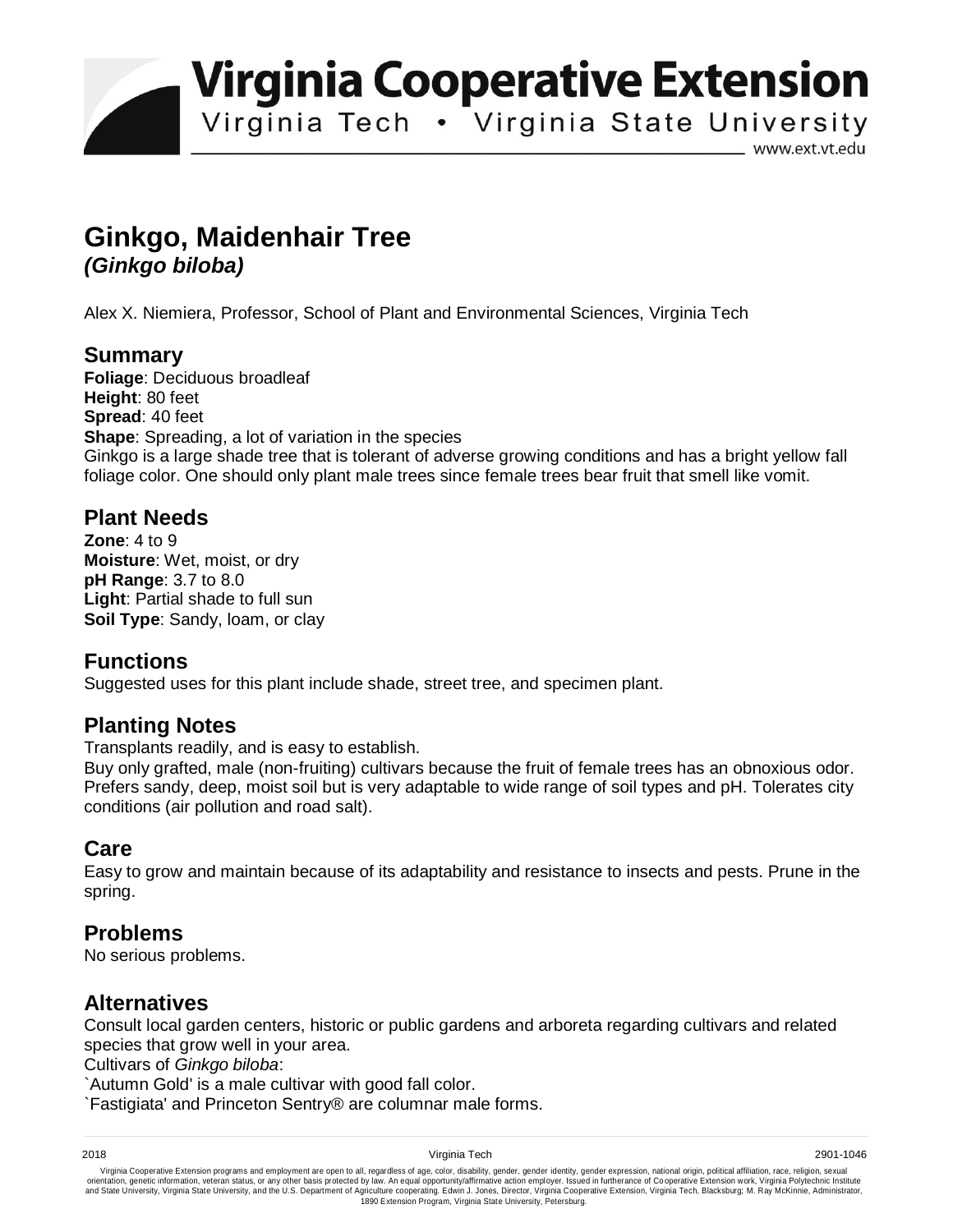**Virginia Cooperative Extension** 

Virginia Tech . Virginia State University

www.ext.vt.edu

# **Ginkgo, Maidenhair Tree**  *(Ginkgo biloba)*

Alex X. Niemiera, Professor, School of Plant and Environmental Sciences, Virginia Tech

#### **Summary**

**Foliage**: Deciduous broadleaf **Height**: 80 feet **Spread**: 40 feet **Shape**: Spreading, a lot of variation in the species Ginkgo is a large shade tree that is tolerant of adverse growing conditions and has a bright yellow fall foliage color. One should only plant male trees since female trees bear fruit that smell like vomit.

## **Plant Needs**

**Zone**: 4 to 9 **Moisture**: Wet, moist, or dry **pH Range**: 3.7 to 8.0 **Light**: Partial shade to full sun **Soil Type**: Sandy, loam, or clay

## **Functions**

Suggested uses for this plant include shade, street tree, and specimen plant.

## **Planting Notes**

Transplants readily, and is easy to establish.

Buy only grafted, male (non-fruiting) cultivars because the fruit of female trees has an obnoxious odor. Prefers sandy, deep, moist soil but is very adaptable to wide range of soil types and pH. Tolerates city conditions (air pollution and road salt).

#### **Care**

Easy to grow and maintain because of its adaptability and resistance to insects and pests. Prune in the spring.

## **Problems**

No serious problems.

#### **Alternatives**

Consult local garden centers, historic or public gardens and arboreta regarding cultivars and related species that grow well in your area.

Cultivars of *Ginkgo biloba*:

`Autumn Gold' is a male cultivar with good fall color.

`Fastigiata' and Princeton Sentry® are columnar male forms.